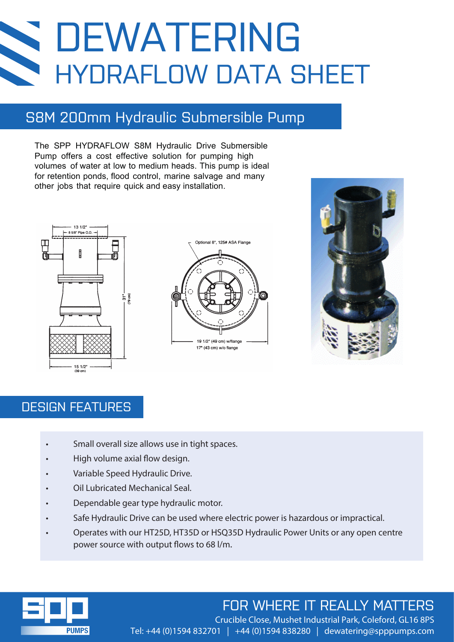# DEWATERING HYDRAFLOW DATA SHEET

## S8M 200mm Hydraulic Submersible Pump

The SPP HYDRAFLOW S8M Hydraulic Drive Submersible Pump offers a cost effective solution for pumping high volumes of water at low to medium heads. This pump is ideal for retention ponds, flood control, marine salvage and many other jobs that require quick and easy installation.







### DESIGN FEATURES

- Small overall size allows use in tight spaces.
- High volume axial flow design.
- Variable Speed Hydraulic Drive.
- Oil Lubricated Mechanical Seal.
- Dependable gear type hydraulic motor.
- Safe Hydraulic Drive can be used where electric power is hazardous or impractical.
- Operates with our HT25D, HT35D or HSQ35D Hydraulic Power Units or any open centre power source with output flows to 68 l/m.



# FOR WHERE IT REALLY MATTERS

Crucible Close, Mushet Industrial Park, Coleford, GL16 8PS Tel: +44 (0)1594 832701 | +44 (0)1594 838280 | dewatering@spppumps.com